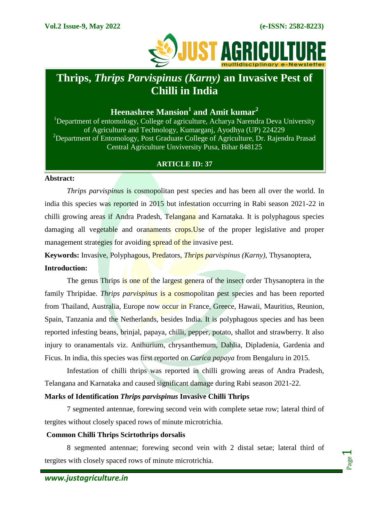Page  $\overline{\phantom{0}}$ 



# **Thrips,** *Thrips Parvispinus (Karny)* **an Invasive Pest of Chilli in India**

# **Heenashree Mansion<sup>1</sup> and Amit kumar<sup>2</sup>**

<sup>1</sup>Department of entomology, College of agriculture, Acharya Narendra Deva University of Agriculture and Technology, Kumarganj, Ayodhya (UP) 224229 <sup>2</sup>Department of Entomology, Post Graduate College of Agriculture, Dr. Rajendra Prasad Central Agriculture Unviversity Pusa, Bihar 848125

# **ARTICLE ID: 37**

#### **Abstract:**

*Thrips parvispinus* is cosmopolitan pest species and has been all over the world. In india this species was reported in 2015 but infestation occurring in Rabi season 2021-22 in chilli growing areas if Andra Pradesh, Telangana and Karnataka. It is polyphagous species damaging all vegetable and oranaments crops.Use of the proper legislative and proper management strategies for avoiding spread of the invasive pest.

**Keywords:** Invasive, Polyphagous, Predators, *Thrips parvispinus (Karny)*, Thysanoptera, **Introduction:**

The genus Thrips is one of the largest genera of the insect order Thysanoptera in the family Thripidae. *Thrips parvispinus* is a cosmopolitan pest species and has been reported from Thailand, Australia, Europe now occur in France, Greece, Hawaii, Mauritius, Reunion, Spain, Tanzania and the Netherlands, besides India. It is polyphagous species and has been reported infesting beans, brinjal, papaya, chilli, pepper, potato, shallot and strawberry. It also injury to oranamentals viz. Anthurium, chrysanthemum, Dahlia, Dipladenia, Gardenia and Ficus. In india, this species was first reported on *Carica papaya* from Bengaluru in 2015.

Infestation of chilli thrips was reported in chilli growing areas of Andra Pradesh, Telangana and Karnataka and caused significant damage during Rabi season 2021-22.

# **Marks of Identification** *Thrips parvispinus* **Invasive Chilli Thrips**

7 segmented antennae, forewing second vein with complete setae row; lateral third of tergites without closely spaced rows of minute microtrichia.

#### **Common Chilli Thrips Scirtothrips dorsalis**

8 segmented antennae; forewing second vein with 2 distal setae; lateral third of tergites with closely spaced rows of minute microtrichia.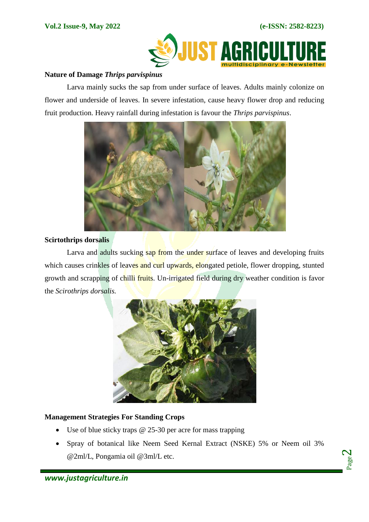

#### **Nature of Damage** *Thrips parvispinus*

Larva mainly sucks the sap from under surface of leaves. Adults mainly colonize on flower and underside of leaves. In severe infestation, cause heavy flower drop and reducing fruit production. Heavy rainfall during infestation is favour the *Thrips parvispinus*.



#### **Scirtothrips dorsalis**

Larva and adults sucking sap from the under surface of leaves and developing fruits which causes crinkles of leaves and curl upwards, elongated petiole, flower dropping, stunted growth and scrapping of chilli fruits. Un-irrigated field during dry weather condition is favor the *Scirothrips dorsalis.*



# **Management Strategies For Standing Crops**

- Use of blue sticky traps  $\omega$  25-30 per acre for mass trapping
- Spray of botanical like Neem Seed Kernal Extract (NSKE) 5% or Neem oil 3% @2ml/L, Pongamia oil @3ml/L etc.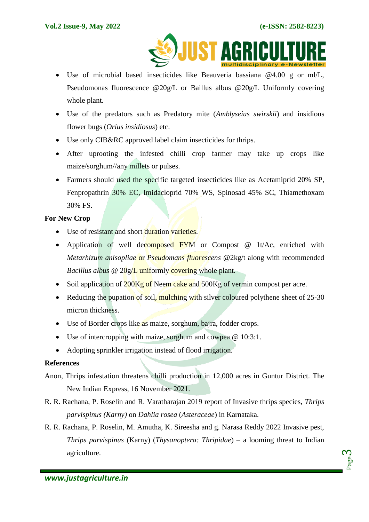

- Use of microbial based insecticides like Beauveria bassiana @4.00 g or ml/L, Pseudomonas fluorescence @20g/L or Baillus albus @20g/L Uniformly covering whole plant.
- Use of the predators such as Predatory mite (*Amblyseius swirskii*) and insidious flower bugs (*Orius insidiosus*) etc.
- Use only CIB&RC approved label claim insecticides for thrips.
- After uprooting the infested chilli crop farmer may take up crops like maize/sorghum//any millets or pulses.
- Farmers should used the specific targeted insecticides like as Acetamiprid 20% SP, Fenpropathrin 30% EC, Imidacloprid 70% WS, Spinosad 45% SC, Thiamethoxam 30% FS.

#### **For New Crop**

- Use of resistant and short duration varieties.
- Application of well decomposed FYM or Compost @ 1t/Ac, enriched with *Metarhizum anisopliae* or *Pseudomans fluorescens* @2kg/t along with recommended *Bacillus albus* @ 20g/L uniformly covering whole plant.
- $\bullet$  Soil application of 200Kg of Neem cake and 500Kg of vermin compost per acre.
- Reducing the pupation of soil, mulching with silver coloured polythene sheet of 25-30 micron thickness.
- Use of Border crops like as maize, sorghum, bajra, fodder crops.
- Use of intercropping with maize, sorghum and cowpea  $\omega$  10:3:1.
- Adopting sprinkler irrigation instead of flood irrigation.

# **References**

- Anon, Thrips infestation threatens chilli production in 12,000 acres in Guntur District. The New Indian Express, 16 November 2021.
- R. R. Rachana, P. Roselin and R. Varatharajan 2019 report of Invasive thrips species, *Thrips parvispinus (Karny)* on *Dahlia rosea* (*Asteraceae*) in Karnataka.
- R. R. Rachana, P. Roselin, M. Amutha, K. Sireesha and g. Narasa Reddy 2022 Invasive pest, *Thrips parvispinus* (Karny) (*Thysanoptera: Thripidae*) – a looming threat to Indian agriculture.